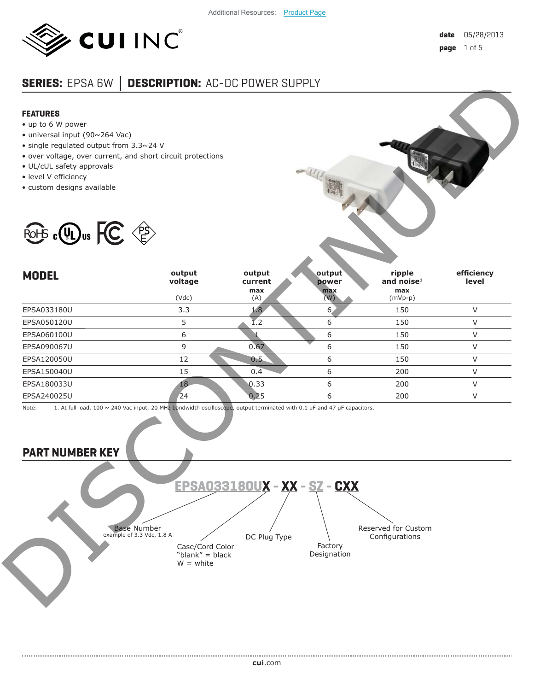

# **SERIES:** EPSA 6W **│ DESCRIPTION:** AC-DC POWER SUPPLY

#### **FEATURES**

- up to 6 W power
- universal input (90~264 Vac)
- single regulated output from 3.3~24 V
- over voltage, over current, and short circuit protections
- UL/cUL safety approvals
- level V efficiency
- custom designs available



## **PART NUMBER KEY**

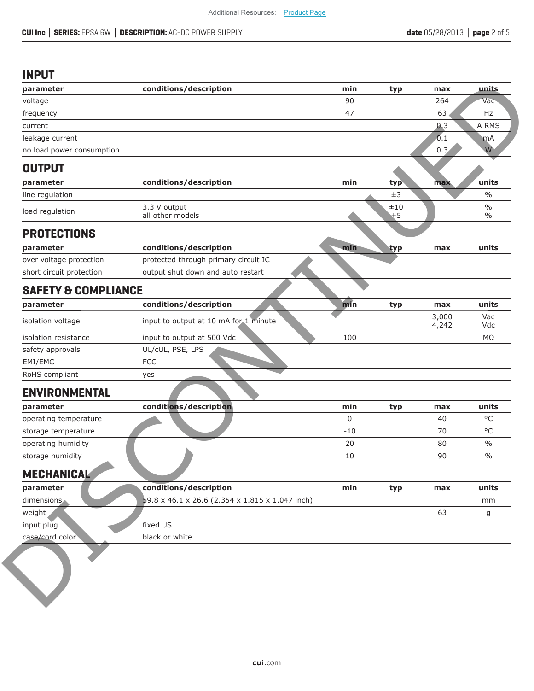### **INPUT**

| parameter                         |                                                 |       |                |                |                                |
|-----------------------------------|-------------------------------------------------|-------|----------------|----------------|--------------------------------|
|                                   | conditions/description                          | min   | typ            | max            | units                          |
| voltage                           |                                                 | 90    |                | 264            | Vac                            |
| frequency                         |                                                 | 47    |                | 63             | Hz                             |
| current                           |                                                 |       |                | 0,3            | A RMS                          |
| leakage current                   |                                                 |       |                | 0.1            | mA                             |
| no load power consumption         |                                                 |       |                | 0.3            | W                              |
| <b>OUTPUT</b>                     |                                                 |       |                |                |                                |
| parameter                         | conditions/description                          | min   | typ            | max            | units                          |
| line regulation                   |                                                 |       | $\pm 3$        |                | $\frac{0}{0}$                  |
| load regulation                   | 3.3 V output<br>all other models                |       | $\pm 10$<br>⊯5 |                | $\frac{0}{0}$<br>$\frac{0}{0}$ |
| <b>PROTECTIONS</b>                |                                                 |       |                |                |                                |
| parameter                         | conditions/description                          | min   | ityp           | max            | units                          |
| over voltage protection           | protected through primary circuit IC            |       |                |                |                                |
| short circuit protection          | output shut down and auto restart               |       |                |                |                                |
| <b>SAFETY &amp; COMPLIANCE</b>    |                                                 |       |                |                |                                |
| parameter                         | conditions/description                          | min   | typ            | max            | units                          |
| isolation voltage                 | input to output at 10 mA for 1 minute           |       |                | 3,000<br>4,242 | Vac<br>Vdc                     |
| isolation resistance              | input to output at 500 Vdc                      | 100   |                |                | $M\Omega$                      |
| safety approvals                  | UL/cUL, PSE, LPS                                |       |                |                |                                |
| EMI/EMC                           | <b>FCC</b>                                      |       |                |                |                                |
| RoHS compliant                    | yes                                             |       |                |                |                                |
| <b>ENVIRONMENTAL</b>              |                                                 |       |                |                |                                |
| parameter                         | conditions/description                          | min   | typ            | max            | units                          |
| operating temperature             |                                                 | 0     |                | 40             | $^{\circ}$ C                   |
| storage temperature               |                                                 | $-10$ |                | 70             | $^{\circ}$ C                   |
| operating humidity                |                                                 | 20    |                | 80             | $\%$                           |
| storage humidity                  |                                                 | 10    |                | 90             | $\frac{0}{0}$                  |
| <b>MECHANICAL</b>                 |                                                 |       |                |                |                                |
|                                   | conditions/description                          | min   | typ            | max            | units                          |
|                                   |                                                 |       |                |                |                                |
|                                   | 59.8 x 46.1 x 26.6 (2.354 x 1.815 x 1.047 inch) |       |                |                | mm                             |
| parameter<br>dimensions<br>weight |                                                 |       |                | 63             | g                              |
| input plug                        | fixed US                                        |       |                |                |                                |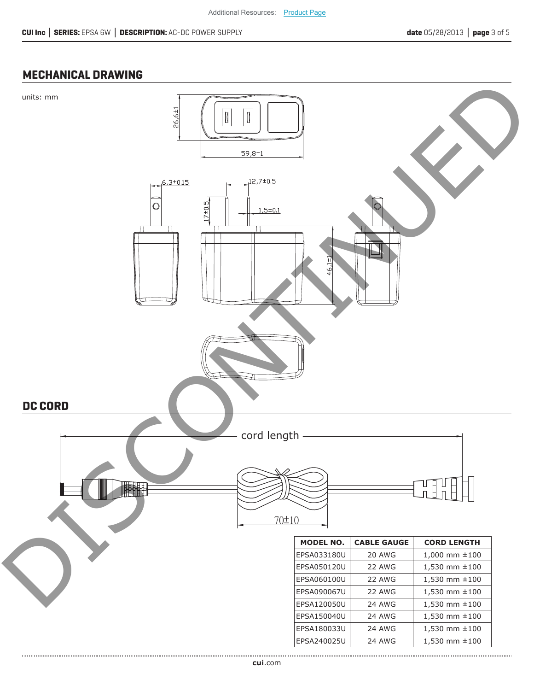### **MECHANICAL DRAWING**



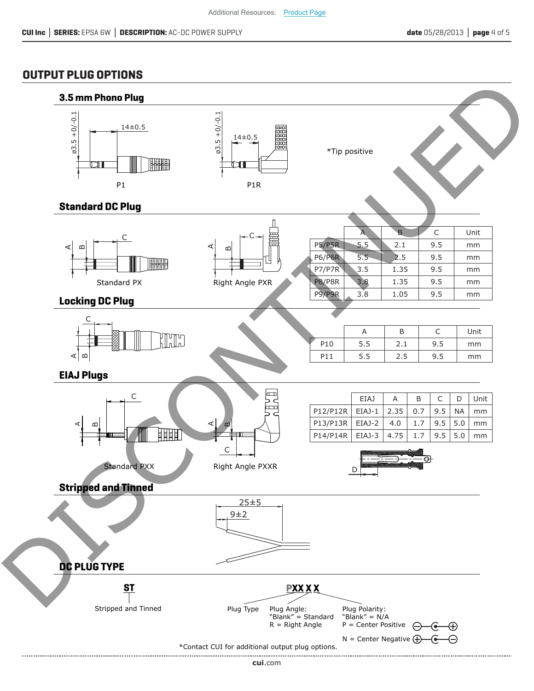### **OUTPUT PLUG OPTIONS**



**cui**[.com](https://www.cui.com/track?actionLabel=Datasheet-ClickThrough-HomePage&label=EPSA_6W.pdf&path=/)